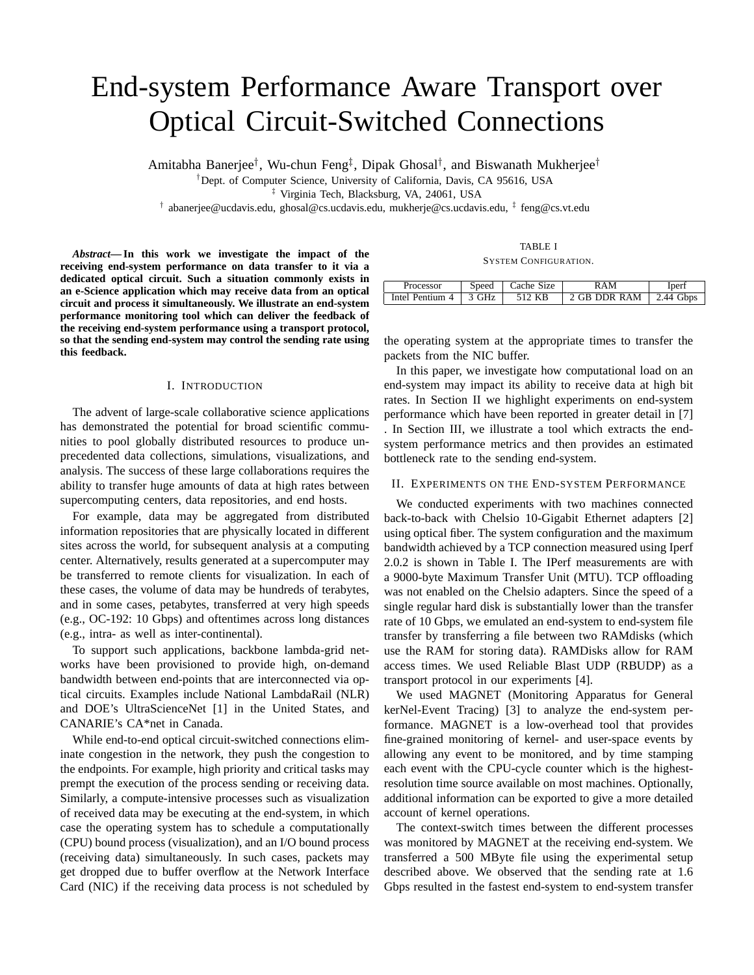# End-system Performance Aware Transport over Optical Circuit-Switched Connections

Amitabha Banerjee<sup>†</sup>, Wu-chun Feng<sup>‡</sup>, Dipak Ghosal<sup>†</sup>, and Biswanath Mukherjee<sup>†</sup> †Dept. of Computer Science, University of California, Davis, CA 95616, USA

‡ Virginia Tech, Blacksburg, VA, 24061, USA

<sup>†</sup> abanerjee@ucdavis.edu, ghosal@cs.ucdavis.edu, mukherje@cs.ucdavis.edu, <sup>‡</sup> feng@cs.vt.edu

*Abstract***— In this work we investigate the impact of the receiving end-system performance on data transfer to it via a dedicated optical circuit. Such a situation commonly exists in an e-Science application which may receive data from an optical circuit and process it simultaneously. We illustrate an end-system performance monitoring tool which can deliver the feedback of the receiving end-system performance using a transport protocol, so that the sending end-system may control the sending rate using this feedback.**

## I. INTRODUCTION

The advent of large-scale collaborative science applications has demonstrated the potential for broad scientific communities to pool globally distributed resources to produce unprecedented data collections, simulations, visualizations, and analysis. The success of these large collaborations requires the ability to transfer huge amounts of data at high rates between supercomputing centers, data repositories, and end hosts.

For example, data may be aggregated from distributed information repositories that are physically located in different sites across the world, for subsequent analysis at a computing center. Alternatively, results generated at a supercomputer may be transferred to remote clients for visualization. In each of these cases, the volume of data may be hundreds of terabytes, and in some cases, petabytes, transferred at very high speeds (e.g., OC-192: 10 Gbps) and oftentimes across long distances (e.g., intra- as well as inter-continental).

To support such applications, backbone lambda-grid networks have been provisioned to provide high, on-demand bandwidth between end-points that are interconnected via optical circuits. Examples include National LambdaRail (NLR) and DOE's UltraScienceNet [1] in the United States, and CANARIE's CA\*net in Canada.

While end-to-end optical circuit-switched connections eliminate congestion in the network, they push the congestion to the endpoints. For example, high priority and critical tasks may prempt the execution of the process sending or receiving data. Similarly, a compute-intensive processes such as visualization of received data may be executing at the end-system, in which case the operating system has to schedule a computationally (CPU) bound process (visualization), and an I/O bound process (receiving data) simultaneously. In such cases, packets may get dropped due to buffer overflow at the Network Interface Card (NIC) if the receiving data process is not scheduled by

TABLE I SYSTEM CONFIGURATION.

| Processor                            | Speed | Cache Size | RAM          | lpert             |
|--------------------------------------|-------|------------|--------------|-------------------|
| Intel Pentium $4 \mid 3 \text{ GHz}$ |       | 512 KB     | 2 GB DDR RAM | $\vert$ 2.44 Gbps |

the operating system at the appropriate times to transfer the packets from the NIC buffer.

In this paper, we investigate how computational load on an end-system may impact its ability to receive data at high bit rates. In Section II we highlight experiments on end-system performance which have been reported in greater detail in [7] . In Section III, we illustrate a tool which extracts the endsystem performance metrics and then provides an estimated bottleneck rate to the sending end-system.

### II. EXPERIMENTS ON THE END-SYSTEM PERFORMANCE

We conducted experiments with two machines connected back-to-back with Chelsio 10-Gigabit Ethernet adapters [2] using optical fiber. The system configuration and the maximum bandwidth achieved by a TCP connection measured using Iperf 2.0.2 is shown in Table I. The IPerf measurements are with a 9000-byte Maximum Transfer Unit (MTU). TCP offloading was not enabled on the Chelsio adapters. Since the speed of a single regular hard disk is substantially lower than the transfer rate of 10 Gbps, we emulated an end-system to end-system file transfer by transferring a file between two RAMdisks (which use the RAM for storing data). RAMDisks allow for RAM access times. We used Reliable Blast UDP (RBUDP) as a transport protocol in our experiments [4].

We used MAGNET (Monitoring Apparatus for General kerNel-Event Tracing) [3] to analyze the end-system performance. MAGNET is a low-overhead tool that provides fine-grained monitoring of kernel- and user-space events by allowing any event to be monitored, and by time stamping each event with the CPU-cycle counter which is the highestresolution time source available on most machines. Optionally, additional information can be exported to give a more detailed account of kernel operations.

The context-switch times between the different processes was monitored by MAGNET at the receiving end-system. We transferred a 500 MByte file using the experimental setup described above. We observed that the sending rate at 1.6 Gbps resulted in the fastest end-system to end-system transfer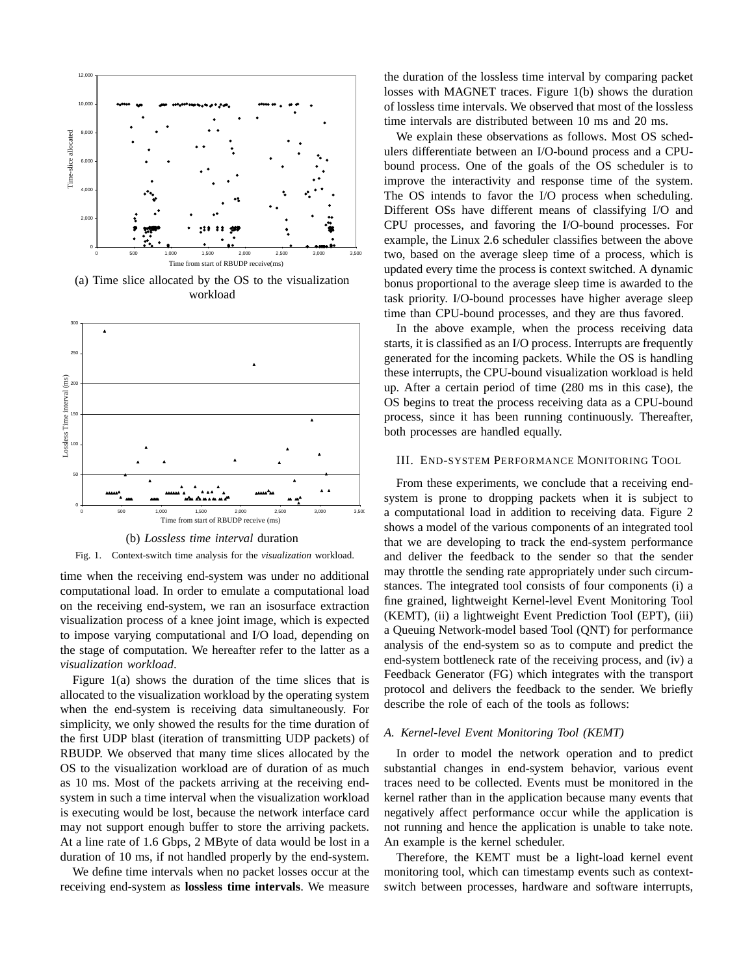

(a) Time slice allocated by the OS to the visualization workload



(b) *Lossless time interval* duration



time when the receiving end-system was under no additional computational load. In order to emulate a computational load on the receiving end-system, we ran an isosurface extraction visualization process of a knee joint image, which is expected to impose varying computational and I/O load, depending on the stage of computation. We hereafter refer to the latter as a *visualization workload*.

Figure 1(a) shows the duration of the time slices that is allocated to the visualization workload by the operating system when the end-system is receiving data simultaneously. For simplicity, we only showed the results for the time duration of the first UDP blast (iteration of transmitting UDP packets) of RBUDP. We observed that many time slices allocated by the OS to the visualization workload are of duration of as much as 10 ms. Most of the packets arriving at the receiving endsystem in such a time interval when the visualization workload is executing would be lost, because the network interface card may not support enough buffer to store the arriving packets. At a line rate of 1.6 Gbps, 2 MByte of data would be lost in a duration of 10 ms, if not handled properly by the end-system.

We define time intervals when no packet losses occur at the receiving end-system as **lossless time intervals**. We measure the duration of the lossless time interval by comparing packet losses with MAGNET traces. Figure 1(b) shows the duration of lossless time intervals. We observed that most of the lossless time intervals are distributed between 10 ms and 20 ms.

We explain these observations as follows. Most OS schedulers differentiate between an I/O-bound process and a CPUbound process. One of the goals of the OS scheduler is to improve the interactivity and response time of the system. The OS intends to favor the I/O process when scheduling. Different OSs have different means of classifying I/O and CPU processes, and favoring the I/O-bound processes. For example, the Linux 2.6 scheduler classifies between the above two, based on the average sleep time of a process, which is updated every time the process is context switched. A dynamic bonus proportional to the average sleep time is awarded to the task priority. I/O-bound processes have higher average sleep time than CPU-bound processes, and they are thus favored.

In the above example, when the process receiving data starts, it is classified as an I/O process. Interrupts are frequently generated for the incoming packets. While the OS is handling these interrupts, the CPU-bound visualization workload is held up. After a certain period of time (280 ms in this case), the OS begins to treat the process receiving data as a CPU-bound process, since it has been running continuously. Thereafter, both processes are handled equally.

# III. END-SYSTEM PERFORMANCE MONITORING TOOL

From these experiments, we conclude that a receiving endsystem is prone to dropping packets when it is subject to a computational load in addition to receiving data. Figure 2 shows a model of the various components of an integrated tool that we are developing to track the end-system performance and deliver the feedback to the sender so that the sender may throttle the sending rate appropriately under such circumstances. The integrated tool consists of four components (i) a fine grained, lightweight Kernel-level Event Monitoring Tool (KEMT), (ii) a lightweight Event Prediction Tool (EPT), (iii) a Queuing Network-model based Tool (QNT) for performance analysis of the end-system so as to compute and predict the end-system bottleneck rate of the receiving process, and (iv) a Feedback Generator (FG) which integrates with the transport protocol and delivers the feedback to the sender. We briefly describe the role of each of the tools as follows:

## *A. Kernel-level Event Monitoring Tool (KEMT)*

In order to model the network operation and to predict substantial changes in end-system behavior, various event traces need to be collected. Events must be monitored in the kernel rather than in the application because many events that negatively affect performance occur while the application is not running and hence the application is unable to take note. An example is the kernel scheduler.

Therefore, the KEMT must be a light-load kernel event monitoring tool, which can timestamp events such as contextswitch between processes, hardware and software interrupts,